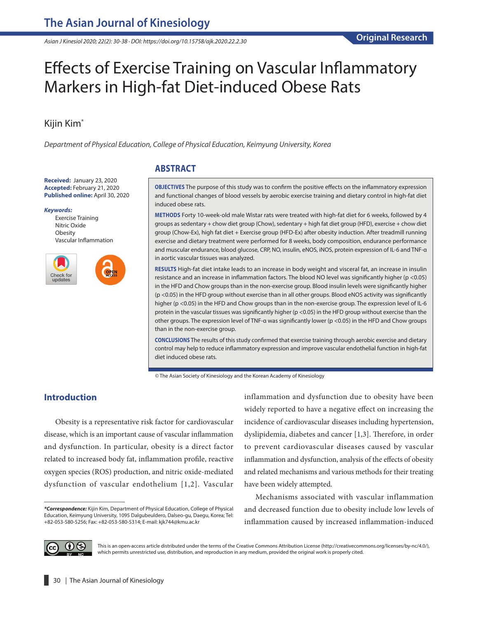*Asian J Kinesiol 2020; 22(2): 30-38 · DOI: https://doi.org/10.15758/ajk.2020.22.2.30*

# Effects of Exercise Training on Vascular Inflammatory Markers in High-fat Diet-induced Obese Rats

# Kijin Kim\*

*Department of Physical Education, College of Physical Education, Keimyung University, Korea*

**Received:** January 23, 2020 **Accepted:** February 21, 2020 **Published online:** April 30, 2020

#### *Keywords:*

Exercise Training Nitric Oxide **Obesity** Vascular Inflammation



## **ABSTRACT**

**OBJECTIVES** The purpose of this study was to confirm the positive effects on the inflammatory expression and functional changes of blood vessels by aerobic exercise training and dietary control in high-fat diet induced obese rats.

**METHODS** Forty 10-week-old male Wistar rats were treated with high-fat diet for 6 weeks, followed by 4 groups as sedentary + chow diet group (Chow), sedentary + high fat diet group (HFD), exercise + chow diet group (Chow-Ex), high fat diet + Exercise group (HFD-Ex) after obesity induction. After treadmill running exercise and dietary treatment were performed for 8 weeks, body composition, endurance performance and muscular endurance, blood glucose, CRP, NO, insulin, eNOS, iNOS, protein expression of IL-6 and TNF-α in aortic vascular tissues was analyzed.

**RESULTS** High-fat diet intake leads to an increase in body weight and visceral fat, an increase in insulin resistance and an increase in inflammation factors. The blood NO level was significantly higher (p <0.05) in the HFD and Chow groups than in the non-exercise group. Blood insulin levels were significantly higher (p <0.05) in the HFD group without exercise than in all other groups. Blood eNOS activity was significantly higher (p <0.05) in the HFD and Chow groups than in the non-exercise group. The expression level of IL-6 protein in the vascular tissues was significantly higher (p <0.05) in the HFD group without exercise than the other groups. The expression level of TNF-α was significantly lower (p <0.05) in the HFD and Chow groups than in the non-exercise group.

**CONCLUSIONS** The results of this study confirmed that exercise training through aerobic exercise and dietary control may help to reduce inflammatory expression and improve vascular endothelial function in high-fat diet induced obese rats.

© The Asian Society of Kinesiology and the Korean Academy of Kinesiology

### **Introduction**

Obesity is a representative risk factor for cardiovascular disease, which is an important cause of vascular inflammation and dysfunction. In particular, obesity is a direct factor related to increased body fat, inflammation profile, reactive oxygen species (ROS) production, and nitric oxide-mediated dysfunction of vascular endothelium [1,2]. Vascular inflammation and dysfunction due to obesity have been widely reported to have a negative effect on increasing the incidence of cardiovascular diseases including hypertension, dyslipidemia, diabetes and cancer [1,3]. Therefore, in order to prevent cardiovascular diseases caused by vascular inflammation and dysfunction, analysis of the effects of obesity and related mechanisms and various methods for their treating have been widely attempted.

Mechanisms associated with vascular inflammation and decreased function due to obesity include low levels of inflammation caused by increased inflammation-induced



This is an open-access article distributed under the terms of the Creative Commons Attribution License (http://creativecommons.org/licenses/by-nc/4.0/), which permits unrestricted use, distribution, and reproduction in any medium, provided the original work is properly cited.

*<sup>\*</sup>Correspondence:* Kijin Kim, Department of Physical Education, College of Physical Education, Keimyung University, 1095 Dalgubeuldero, Dalseo-gu, Daegu, Korea; Tel: +82-053-580-5256; Fax: +82-053-580-5314; E-mail: kjk744@kmu.ac.kr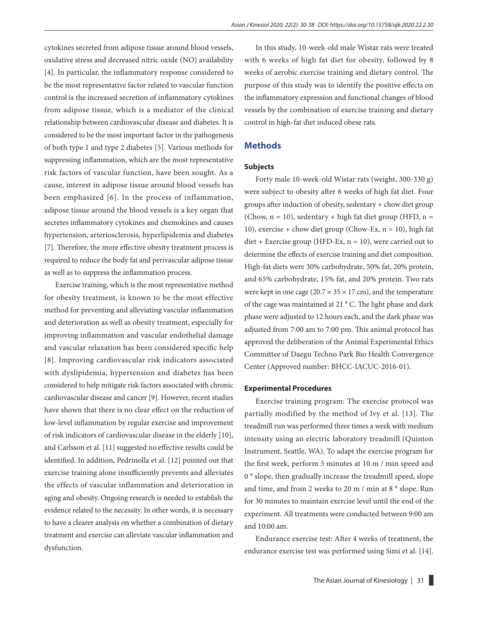cytokines secreted from adipose tissue around blood vessels, oxidative stress and decreased nitric oxide (NO) availability [4]. In particular, the inflammatory response considered to be the most representative factor related to vascular function control is the increased secretion of inflammatory cytokines from adipose tissue, which is a mediator of the clinical relationship between cardiovascular disease and diabetes. It is considered to be the most important factor in the pathogenesis of both type 1 and type 2 diabetes [5]. Various methods for suppressing inflammation, which are the most representative risk factors of vascular function, have been sought. As a cause, interest in adipose tissue around blood vessels has been emphasized [6]. In the process of inflammation, adipose tissue around the blood vessels is a key organ that secretes inflammatory cytokines and chemokines and causes hypertension, arteriosclerosis, hyperlipidemia and diabetes [7]. Therefore, the more effective obesity treatment process is required to reduce the body fat and perivascular adipose tissue as well as to suppress the inflammation process.

Exercise training, which is the most representative method for obesity treatment, is known to be the most effective method for preventing and alleviating vascular inflammation and deterioration as well as obesity treatment, especially for improving inflammation and vascular endothelial damage and vascular relaxation has been considered specific help [8]. Improving cardiovascular risk indicators associated with dyslipidemia, hypertension and diabetes has been considered to help mitigate risk factors associated with chronic cardiovascular disease and cancer [9]. However, recent studies have shown that there is no clear effect on the reduction of low-level inflammation by regular exercise and improvement of risk indicators of cardiovascular disease in the elderly [10], and Carlsson et al. [11] suggested no effective results could be identified. In addition, Pedrinolla et al. [12] pointed out that exercise training alone insufficiently prevents and alleviates the effects of vascular inflammation and deterioration in aging and obesity. Ongoing research is needed to establish the evidence related to the necessity. In other words, it is necessary to have a clearer analysis on whether a combination of dietary treatment and exercise can alleviate vascular inflammation and dysfunction.

In this study, 10-week-old male Wistar rats were treated with 6 weeks of high fat diet for obesity, followed by 8 weeks of aerobic exercise training and dietary control. The purpose of this study was to identify the positive effects on the inflammatory expression and functional changes of blood vessels by the combination of exercise training and dietary control in high-fat diet induced obese rats.

## **Methods**

#### **Subjects**

Forty male 10-week-old Wistar rats (weight, 300-330 g) were subject to obesity after 6 weeks of high fat diet. Four groups after induction of obesity, sedentary + chow diet group (Chow,  $n = 10$ ), sedentary + high fat diet group (HFD,  $n =$ 10), exercise + chow diet group (Chow-Ex,  $n = 10$ ), high fat  $\text{diet}$  + Exercise group (HFD-Ex,  $n = 10$ ), were carried out to determine the effects of exercise training and diet composition. High-fat diets were 30% carbohydrate, 50% fat, 20% protein, and 65% carbohydrate, 15% fat, and 20% protein. Two rats were kept in one cage ( $20.7 \times 35 \times 17$  cm), and the temperature of the cage was maintained at 21 ° C. The light phase and dark phase were adjusted to 12 hours each, and the dark phase was adjusted from 7:00 am to 7:00 pm. This animal protocol has approved the deliberation of the Animal Experimental Ethics Committee of Daegu Techno Park Bio Health Convergence Center (Approved number: BHCC-IACUC-2016-01).

#### **Experimental Procedures**

Exercise training program: The exercise protocol was partially modified by the method of Ivy et al. [13]. The treadmill run was performed three times a week with medium intensity using an electric laboratory treadmill (Quinton Instrument, Seattle, WA). To adapt the exercise program for the first week, perform 5 minutes at 10 m / min speed and 0 ° slope, then gradually increase the treadmill speed, slope and time, and from 2 weeks to 20 m / min at 8 ° slope. Run for 30 minutes to maintain exercise level until the end of the experiment. All treatments were conducted between 9:00 am and 10:00 am.

Endurance exercise test: After 4 weeks of treatment, the endurance exercise test was performed using Simi et al. [14].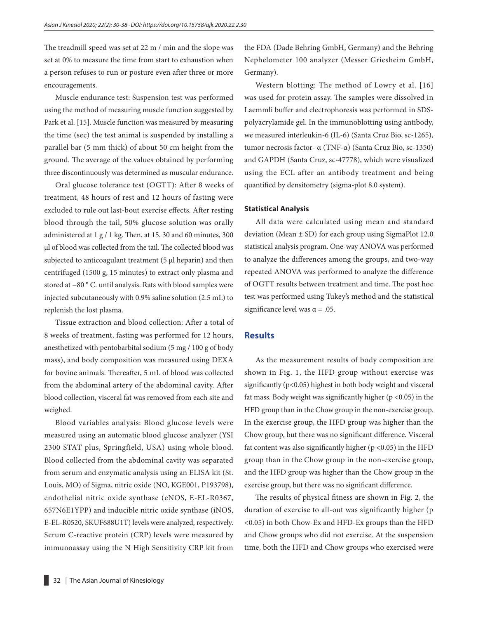The treadmill speed was set at 22 m / min and the slope was set at 0% to measure the time from start to exhaustion when a person refuses to run or posture even after three or more encouragements.

Muscle endurance test: Suspension test was performed using the method of measuring muscle function suggested by Park et al. [15]. Muscle function was measured by measuring the time (sec) the test animal is suspended by installing a parallel bar (5 mm thick) of about 50 cm height from the ground. The average of the values obtained by performing three discontinuously was determined as muscular endurance.

Oral glucose tolerance test (OGTT): After 8 weeks of treatment, 48 hours of rest and 12 hours of fasting were excluded to rule out last-bout exercise effects. After resting blood through the tail, 50% glucose solution was orally administered at 1 g / 1 kg. Then, at 15, 30 and 60 minutes, 300 μl of blood was collected from the tail. The collected blood was subjected to anticoagulant treatment (5 μl heparin) and then centrifuged (1500 g, 15 minutes) to extract only plasma and stored at −80 ° C. until analysis. Rats with blood samples were injected subcutaneously with 0.9% saline solution (2.5 mL) to replenish the lost plasma.

Tissue extraction and blood collection: After a total of 8 weeks of treatment, fasting was performed for 12 hours, anesthetized with pentobarbital sodium (5 mg / 100 g of body mass), and body composition was measured using DEXA for bovine animals. Thereafter, 5 mL of blood was collected from the abdominal artery of the abdominal cavity. After blood collection, visceral fat was removed from each site and weighed.

Blood variables analysis: Blood glucose levels were measured using an automatic blood glucose analyzer (YSI 2300 STAT plus, Springfield, USA) using whole blood. Blood collected from the abdominal cavity was separated from serum and enzymatic analysis using an ELISA kit (St. Louis, MO) of Sigma, nitric oxide (NO, KGE001, P193798), endothelial nitric oxide synthase (eNOS, E-EL-R0367, 657N6E1YPP) and inducible nitric oxide synthase (iNOS, E-EL-R0520, SKUF688U1T) levels were analyzed, respectively. Serum C-reactive protein (CRP) levels were measured by immunoassay using the N High Sensitivity CRP kit from

the FDA (Dade Behring GmbH, Germany) and the Behring Nephelometer 100 analyzer (Messer Griesheim GmbH, Germany).

Western blotting: The method of Lowry et al. [16] was used for protein assay. The samples were dissolved in Laemmli buffer and electrophoresis was performed in SDSpolyacrylamide gel. In the immunoblotting using antibody, we measured interleukin-6 (IL-6) (Santa Cruz Bio, sc-1265), tumor necrosis factor- α (TNF-α) (Santa Cruz Bio, sc-1350) and GAPDH (Santa Cruz, sc-47778), which were visualized using the ECL after an antibody treatment and being quantified by densitometry (sigma-plot 8.0 system).

#### **Statistical Analysis**

All data were calculated using mean and standard deviation (Mean  $\pm$  SD) for each group using SigmaPlot 12.0 statistical analysis program. One-way ANOVA was performed to analyze the differences among the groups, and two-way repeated ANOVA was performed to analyze the difference of OGTT results between treatment and time. The post hoc test was performed using Tukey's method and the statistical significance level was  $\alpha = .05$ .

#### **Results**

As the measurement results of body composition are shown in Fig. 1, the HFD group without exercise was significantly  $(p<0.05)$  highest in both body weight and visceral fat mass. Body weight was significantly higher ( $p < 0.05$ ) in the HFD group than in the Chow group in the non-exercise group. In the exercise group, the HFD group was higher than the Chow group, but there was no significant difference. Visceral fat content was also significantly higher ( $p < 0.05$ ) in the HFD group than in the Chow group in the non-exercise group, and the HFD group was higher than the Chow group in the exercise group, but there was no significant difference.

The results of physical fitness are shown in Fig. 2, the duration of exercise to all-out was significantly higher (p <0.05) in both Chow-Ex and HFD-Ex groups than the HFD and Chow groups who did not exercise. At the suspension time, both the HFD and Chow groups who exercised were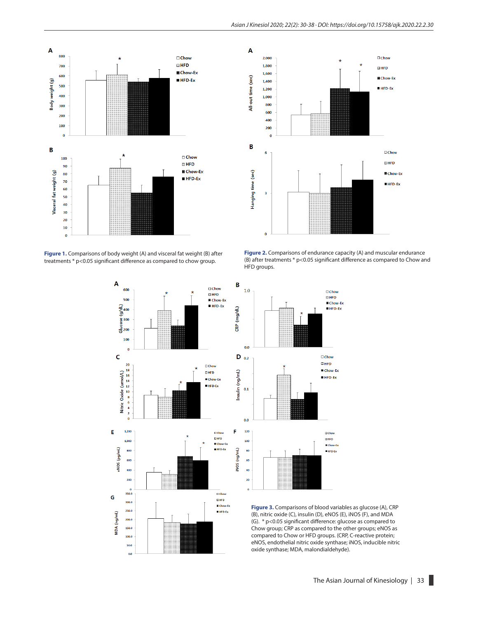

**Figure 1.** Comparisons of body weight (A) and visceral fat weight (B) after treatments \* p<0.05 significant difference as compared to chow group.









**Figure 3.** Comparisons of blood variables as glucose (A), CRP (B), nitric oxide (C), insulin (D), eNOS (E), iNOS (F), and MDA (G). \* p<0.05 significant difference: glucose as compared to Chow group; CRP as compared to the other groups; eNOS as compared to Chow or HFD groups. (CRP, C-reactive protein; eNOS, endothelial nitric oxide synthase; iNOS, inducible nitric oxide synthase; MDA, malondialdehyde).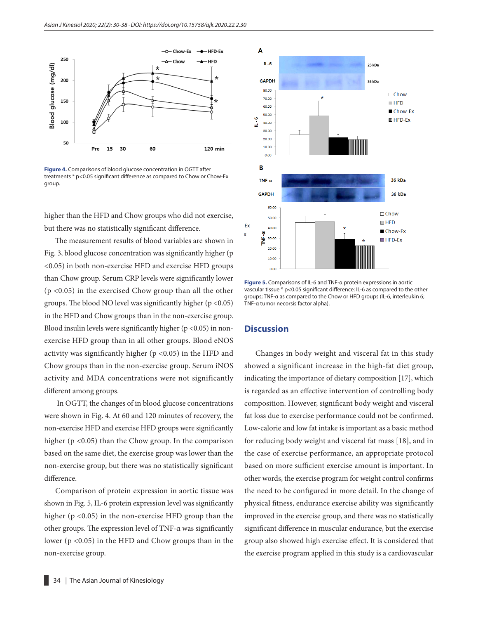

**Figure 4.** Comparisons of blood glucose concentration in OGTT after treatments \* p<0.05 significant difference as compared to Chow or Chow-Ex group.

higher than the HFD and Chow groups who did not exercise, but there was no statistically significant difference.

The measurement results of blood variables are shown in Fig. 3, blood glucose concentration was significantly higher (p <0.05) in both non-exercise HFD and exercise HFD groups than Chow group. Serum CRP levels were significantly lower (p <0.05) in the exercised Chow group than all the other groups. The blood NO level was significantly higher  $(p < 0.05)$ in the HFD and Chow groups than in the non-exercise group. Blood insulin levels were significantly higher ( $p$  <0.05) in nonexercise HFD group than in all other groups. Blood eNOS activity was significantly higher ( $p$  <0.05) in the HFD and Chow groups than in the non-exercise group. Serum iNOS activity and MDA concentrations were not significantly different among groups.

 In OGTT, the changes of in blood glucose concentrations were shown in Fig. 4. At 60 and 120 minutes of recovery, the non-exercise HFD and exercise HFD groups were significantly higher (p <0.05) than the Chow group. In the comparison based on the same diet, the exercise group was lower than the non-exercise group, but there was no statistically significant difference.

Comparison of protein expression in aortic tissue was shown in Fig. 5, IL-6 protein expression level was significantly higher (p <0.05) in the non-exercise HFD group than the other groups. The expression level of TNF-α was significantly lower ( $p$  <0.05) in the HFD and Chow groups than in the non-exercise group.



**Figure 5.** Comparisons of IL-6 and TNF-α protein expressions in aortic vascular tissue \* p<0.05 significant difference: IL-6 as compared to the other groups; TNF-α as compared to the Chow or HFD groups (IL-6, interleukin 6; TNF-α tumor necorsis factor alpha).

#### **Discussion**

Changes in body weight and visceral fat in this study showed a significant increase in the high-fat diet group, indicating the importance of dietary composition [17], which is regarded as an effective intervention of controlling body composition. However, significant body weight and visceral fat loss due to exercise performance could not be confirmed. Low-calorie and low fat intake is important as a basic method for reducing body weight and visceral fat mass [18], and in the case of exercise performance, an appropriate protocol based on more sufficient exercise amount is important. In other words, the exercise program for weight control confirms the need to be configured in more detail. In the change of physical fitness, endurance exercise ability was significantly improved in the exercise group, and there was no statistically significant difference in muscular endurance, but the exercise group also showed high exercise effect. It is considered that the exercise program applied in this study is a cardiovascular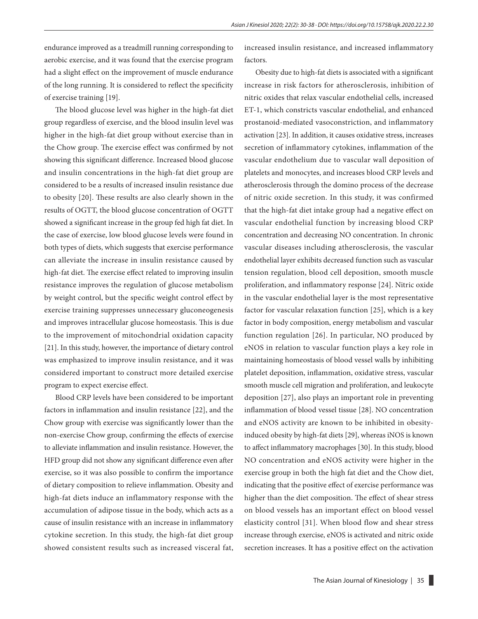endurance improved as a treadmill running corresponding to aerobic exercise, and it was found that the exercise program had a slight effect on the improvement of muscle endurance of the long running. It is considered to reflect the specificity of exercise training [19].

The blood glucose level was higher in the high-fat diet group regardless of exercise, and the blood insulin level was higher in the high-fat diet group without exercise than in the Chow group. The exercise effect was confirmed by not showing this significant difference. Increased blood glucose and insulin concentrations in the high-fat diet group are considered to be a results of increased insulin resistance due to obesity [20]. These results are also clearly shown in the results of OGTT, the blood glucose concentration of OGTT showed a significant increase in the group fed high fat diet. In the case of exercise, low blood glucose levels were found in both types of diets, which suggests that exercise performance can alleviate the increase in insulin resistance caused by high-fat diet. The exercise effect related to improving insulin resistance improves the regulation of glucose metabolism by weight control, but the specific weight control effect by exercise training suppresses unnecessary gluconeogenesis and improves intracellular glucose homeostasis. This is due to the improvement of mitochondrial oxidation capacity [21]. In this study, however, the importance of dietary control was emphasized to improve insulin resistance, and it was considered important to construct more detailed exercise program to expect exercise effect.

Blood CRP levels have been considered to be important factors in inflammation and insulin resistance [22], and the Chow group with exercise was significantly lower than the non-exercise Chow group, confirming the effects of exercise to alleviate inflammation and insulin resistance. However, the HFD group did not show any significant difference even after exercise, so it was also possible to confirm the importance of dietary composition to relieve inflammation. Obesity and high-fat diets induce an inflammatory response with the accumulation of adipose tissue in the body, which acts as a cause of insulin resistance with an increase in inflammatory cytokine secretion. In this study, the high-fat diet group showed consistent results such as increased visceral fat, increased insulin resistance, and increased inflammatory factors.

Obesity due to high-fat diets is associated with a significant increase in risk factors for atherosclerosis, inhibition of nitric oxides that relax vascular endothelial cells, increased ET-1, which constricts vascular endothelial, and enhanced prostanoid-mediated vasoconstriction, and inflammatory activation [23]. In addition, it causes oxidative stress, increases secretion of inflammatory cytokines, inflammation of the vascular endothelium due to vascular wall deposition of platelets and monocytes, and increases blood CRP levels and atherosclerosis through the domino process of the decrease of nitric oxide secretion. In this study, it was confirmed that the high-fat diet intake group had a negative effect on vascular endothelial function by increasing blood CRP concentration and decreasing NO concentration. In chronic vascular diseases including atherosclerosis, the vascular endothelial layer exhibits decreased function such as vascular tension regulation, blood cell deposition, smooth muscle proliferation, and inflammatory response [24]. Nitric oxide in the vascular endothelial layer is the most representative factor for vascular relaxation function [25], which is a key factor in body composition, energy metabolism and vascular function regulation [26]. In particular, NO produced by eNOS in relation to vascular function plays a key role in maintaining homeostasis of blood vessel walls by inhibiting platelet deposition, inflammation, oxidative stress, vascular smooth muscle cell migration and proliferation, and leukocyte deposition [27], also plays an important role in preventing inflammation of blood vessel tissue [28]. NO concentration and eNOS activity are known to be inhibited in obesityinduced obesity by high-fat diets [29], whereas iNOS is known to affect inflammatory macrophages [30]. In this study, blood NO concentration and eNOS activity were higher in the exercise group in both the high fat diet and the Chow diet, indicating that the positive effect of exercise performance was higher than the diet composition. The effect of shear stress on blood vessels has an important effect on blood vessel elasticity control [31]. When blood flow and shear stress increase through exercise, eNOS is activated and nitric oxide secretion increases. It has a positive effect on the activation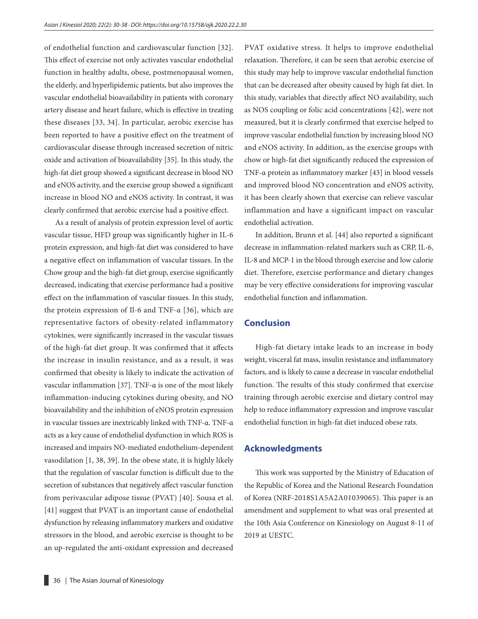of endothelial function and cardiovascular function [32]. This effect of exercise not only activates vascular endothelial function in healthy adults, obese, postmenopausal women, the elderly, and hyperlipidemic patients, but also improves the vascular endothelial bioavailability in patients with coronary artery disease and heart failure, which is effective in treating these diseases [33, 34]. In particular, aerobic exercise has been reported to have a positive effect on the treatment of cardiovascular disease through increased secretion of nitric oxide and activation of bioavailability [35]. In this study, the high-fat diet group showed a significant decrease in blood NO and eNOS activity, and the exercise group showed a significant increase in blood NO and eNOS activity. In contrast, it was clearly confirmed that aerobic exercise had a positive effect.

As a result of analysis of protein expression level of aortic vascular tissue, HFD group was significantly higher in IL-6 protein expression, and high-fat diet was considered to have a negative effect on inflammation of vascular tissues. In the Chow group and the high-fat diet group, exercise significantly decreased, indicating that exercise performance had a positive effect on the inflammation of vascular tissues. In this study, the protein expression of Il-6 and TNF-α [36], which are representative factors of obesity-related inflammatory cytokines, were significantly increased in the vascular tissues of the high-fat diet group. It was confirmed that it affects the increase in insulin resistance, and as a result, it was confirmed that obesity is likely to indicate the activation of vascular inflammation [37]. TNF-α is one of the most likely inflammation-inducing cytokines during obesity, and NO bioavailability and the inhibition of eNOS protein expression in vascular tissues are inextricably linked with TNF-α. TNF-α acts as a key cause of endothelial dysfunction in which ROS is increased and impairs NO-mediated endothelium-dependent vasodilation [1, 38, 39]. In the obese state, it is highly likely that the regulation of vascular function is difficult due to the secretion of substances that negatively affect vascular function from perivascular adipose tissue (PVAT) [40]. Sousa et al. [41] suggest that PVAT is an important cause of endothelial dysfunction by releasing inflammatory markers and oxidative stressors in the blood, and aerobic exercise is thought to be an up-regulated the anti-oxidant expression and decreased PVAT oxidative stress. It helps to improve endothelial relaxation. Therefore, it can be seen that aerobic exercise of this study may help to improve vascular endothelial function that can be decreased after obesity caused by high fat diet. In this study, variables that directly affect NO availability, such as NOS coupling or folic acid concentrations [42], were not measured, but it is clearly confirmed that exercise helped to improve vascular endothelial function by increasing blood NO and eNOS activity. In addition, as the exercise groups with chow or high-fat diet significantly reduced the expression of TNF-α protein as inflammatory marker [43] in blood vessels and improved blood NO concentration and eNOS activity, it has been clearly shown that exercise can relieve vascular inflammation and have a significant impact on vascular endothelial activation.

In addition, Brunn et al. [44] also reported a significant decrease in inflammation-related markers such as CRP, IL-6, IL-8 and MCP-1 in the blood through exercise and low calorie diet. Therefore, exercise performance and dietary changes may be very effective considerations for improving vascular endothelial function and inflammation.

#### **Conclusion**

High-fat dietary intake leads to an increase in body weight, visceral fat mass, insulin resistance and inflammatory factors, and is likely to cause a decrease in vascular endothelial function. The results of this study confirmed that exercise training through aerobic exercise and dietary control may help to reduce inflammatory expression and improve vascular endothelial function in high-fat diet induced obese rats.

#### **Acknowledgments**

This work was supported by the Ministry of Education of the Republic of Korea and the National Research Foundation of Korea (NRF-2018S1A5A2A01039065). This paper is an amendment and supplement to what was oral presented at the 10th Asia Conference on Kinesiology on August 8-11 of 2019 at UESTC.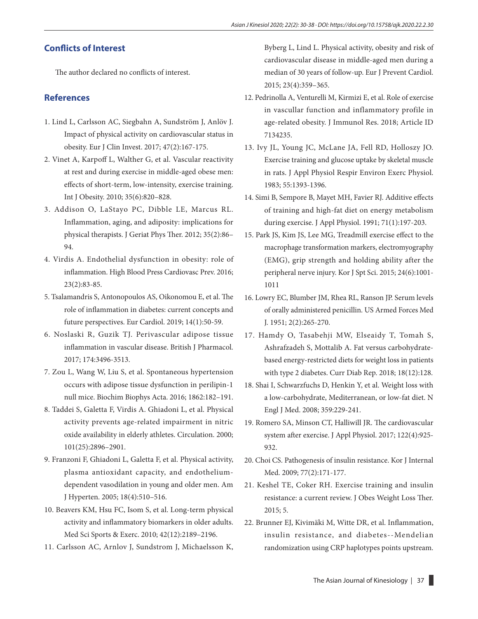## **Conflicts of Interest**

The author declared no conflicts of interest.

#### **References**

- 1. Lind L, Carlsson AC, Siegbahn A, Sundström J, Anlöv J. Impact of physical activity on cardiovascular status in obesity. Eur J Clin Invest. 2017; 47(2):167-175.
- 2. Vinet A, Karpoff L, Walther G, et al. Vascular reactivity at rest and during exercise in middle-aged obese men: effects of short-term, low-intensity, exercise training. Int J Obesity. 2010; 35(6):820–828.
- 3. Addison O, LaStayo PC, Dibble LE, Marcus RL. Inflammation, aging, and adiposity: implications for physical therapists. J Geriat Phys Ther. 2012; 35(2):86– 94.
- 4. Virdis A. Endothelial dysfunction in obesity: role of inflammation. High Blood Press Cardiovasc Prev. 2016; 23(2):83-85.
- 5. Tsalamandris S, Antonopoulos AS, Oikonomou E, et al. The role of inflammation in diabetes: current concepts and future perspectives. Eur Cardiol. 2019; 14(1):50-59.
- 6. Noslaski R, Guzik TJ. Perivascular adipose tissue inflammation in vascular disease. British J Pharmacol. 2017; 174:3496-3513.
- 7. Zou L, Wang W, Liu S, et al. Spontaneous hypertension occurs with adipose tissue dysfunction in perilipin-1 null mice. Biochim Biophys Acta. 2016; 1862:182–191.
- 8. Taddei S, Galetta F, Virdis A. [Ghiadoni L](https://www.ncbi.nlm.nih.gov/pubmed/?term=Ghiadoni%20L%5BAuthor%5D&cauthor=true&cauthor_uid=10869260), et al. Physical activity prevents age-related impairment in nitric oxide availability in elderly athletes. Circulation. 2000; 101(25):2896–2901.
- 9. Franzoni F, Ghiadoni L, Galetta F, et al. Physical activity, plasma antioxidant capacity, and endotheliumdependent vasodilation in young and older men. Am J Hyperten. 2005; 18(4):510–516.
- 10. Beavers KM, Hsu FC, Isom S, et al. Long-term physical activity and inflammatory biomarkers in older adults. Med Sci Sports & Exerc. 2010; 42(12):2189–2196.
- 11. Carlsson AC, Arnlov J, Sundstrom J, Michaelsson K,

Byberg L, Lind L. Physical activity, obesity and risk of cardiovascular disease in middle-aged men during a median of 30 years of follow-up. Eur J Prevent Cardiol. 2015; 23(4):359–365.

- 12. Pedrinolla A, Venturelli M, Kirmizi E, et al. Role of exercise in vascullar function and inflammatory profile in age-related obesity. J Immunol Res. 2018; Article ID 7134235.
- 13. Ivy JL, Young JC, McLane JA, Fell RD, Holloszy JO. Exercise training and glucose uptake by skeletal muscle in rats. J Appl Physiol Respir Environ Exerc Physiol. 1983; 55:1393-1396.
- 14. Simi B, Sempore B, Mayet MH, Favier RJ. Additive effects of training and high-fat diet on energy metabolism during exercise. J Appl Physiol. 1991; 71(1):197-203.
- 15. Park JS, Kim JS, Lee MG, Treadmill exercise effect to the macrophage transformation markers, electromyography (EMG), grip strength and holding ability after the peripheral nerve injury. Kor J Spt Sci. 2015; 24(6):1001- 1011
- 16. Lowry EC, Blumber JM, Rhea RL, Ranson JP. Serum levels of orally administered penicillin. US Armed Forces Med J. 1951; 2(2):265-270.
- 17. Hamdy O, Tasabehji MW, Elseaidy T, Tomah S, Ashrafzadeh S, Mottalib A. Fat versus carbohydratebased energy-restricted diets for weight loss in patients with type 2 diabetes. Curr Diab Rep. 2018; 18(12):128.
- 18. Shai I, Schwarzfuchs D, Henkin Y, et al. Weight loss with a low-carbohydrate, Mediterranean, or low-fat diet. N Engl J Med. 2008; 359:229-241.
- 19. Romero SA, Minson CT, Halliwill JR. The cardiovascular system after exercise. J Appl Physiol. 2017; 122(4):925- 932.
- 20. Choi CS. Pathogenesis of insulin resistance. Kor J Internal Med. 2009; 77(2):171-177.
- 21. Keshel TE, Coker RH. Exercise training and insulin resistance: a current review. J Obes Weight Loss Ther. 2015; 5.
- 22. Brunner EJ, Kivimäki M, Witte DR, et al. Inflammation, insulin resistance, and diabetes--Mendelian randomization using CRP haplotypes points upstream.